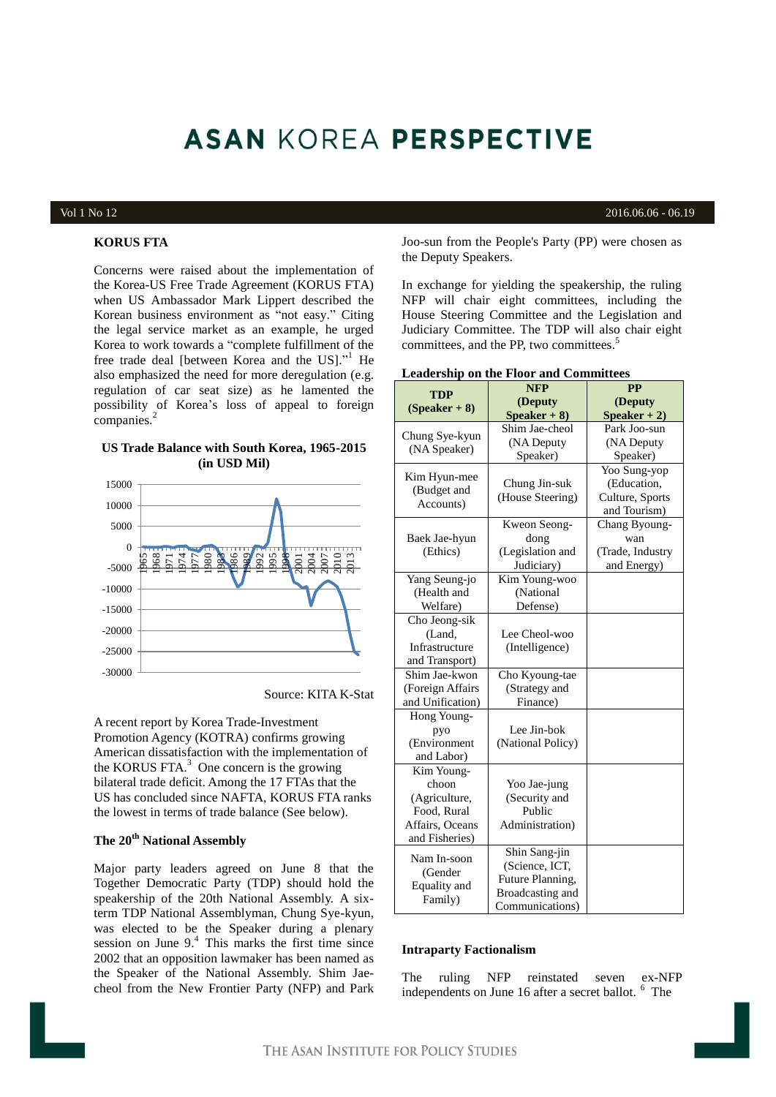# **ASAN KOREA PERSPECTIVE**

#### Vol 1 No 12 2016.06.06 - 06.19

# **KORUS FTA**

Concerns were raised about the implementation of the Korea-US Free Trade Agreement (KORUS FTA) when US Ambassador Mark Lippert described the Korean business environment as "not easy." Citing the legal service market as an example, he urged Korea to work towards a "complete fulfillment of the free trade deal [between Korea and the US]."<sup>1</sup> He also emphasized the need for more deregulation (e.g. regulation of car seat size) as he lamented the possibility of Korea's loss of appeal to foreign companies.<sup>2</sup>

# **US Trade Balance with South Korea, 1965-2015 (in USD Mil)**



Source: KITA K-Stat

A recent report by Korea Trade-Investment Promotion Agency (KOTRA) confirms growing American dissatisfaction with the implementation of the KORUS FTA. $3$  One concern is the growing bilateral trade deficit. Among the 17 FTAs that the US has concluded since NAFTA, KORUS FTA ranks the lowest in terms of trade balance (See below).

# **The 20th National Assembly**

Major party leaders agreed on June 8 that the Together Democratic Party (TDP) should hold the speakership of the 20th National Assembly. A sixterm TDP National Assemblyman, Chung Sye-kyun, was elected to be the Speaker during a plenary session on June 9. <sup>4</sup> This marks the first time since 2002 that an opposition lawmaker has been named as the Speaker of the National Assembly. Shim Jaecheol from the New Frontier Party (NFP) and Park

Joo-sun from the People's Party (PP) were chosen as the Deputy Speakers.

In exchange for yielding the speakership, the ruling NFP will chair eight committees, including the House Steering Committee and the Legislation and Judiciary Committee. The TDP will also chair eight committees, and the PP, two committees.<sup>5</sup>

| <b>Leadership on the Floor and Committees</b> |          |          |  |
|-----------------------------------------------|----------|----------|--|
| TDP                                           | NFP      | РP       |  |
|                                               | (Deputy) | (Deputy) |  |

| <b>TDP</b>       |                   |                  |  |  |
|------------------|-------------------|------------------|--|--|
| $(Speaker + 8)$  | (Deputy           | (Deputy          |  |  |
|                  | $S$ peaker + 8)   | $Speaker + 2)$   |  |  |
| Chung Sye-kyun   | Shim Jae-cheol    | Park Joo-sun     |  |  |
| (NA Speaker)     | (NA Deputy        | (NA Deputy       |  |  |
|                  | Speaker)          | Speaker)         |  |  |
| Kim Hyun-mee     |                   | Yoo Sung-yop     |  |  |
| (Budget and      | Chung Jin-suk     | (Education,      |  |  |
| Accounts)        | (House Steering)  | Culture, Sports  |  |  |
|                  |                   | and Tourism)     |  |  |
|                  | Kweon Seong-      | Chang Byoung-    |  |  |
| Baek Jae-hyun    | dong              | wan              |  |  |
| (Ethics)         | (Legislation and  | (Trade, Industry |  |  |
|                  | Judiciary)        | and Energy)      |  |  |
| Yang Seung-jo    | Kim Young-woo     |                  |  |  |
| (Health and      | (National         |                  |  |  |
| Welfare)         | Defense)          |                  |  |  |
| Cho Jeong-sik    |                   |                  |  |  |
| (Land,           | Lee Cheol-woo     |                  |  |  |
| Infrastructure   | (Intelligence)    |                  |  |  |
| and Transport)   |                   |                  |  |  |
| Shim Jae-kwon    | Cho Kyoung-tae    |                  |  |  |
| (Foreign Affairs | (Strategy and     |                  |  |  |
| and Unification) | Finance)          |                  |  |  |
| Hong Young-      |                   |                  |  |  |
| pyo              | Lee Jin-bok       |                  |  |  |
| (Environment     | (National Policy) |                  |  |  |
| and Labor)       |                   |                  |  |  |
| Kim Young-       |                   |                  |  |  |
| choon            | Yoo Jae-jung      |                  |  |  |
| (Agriculture,    | (Security and     |                  |  |  |
| Food, Rural      | Public            |                  |  |  |
| Affairs, Oceans  | Administration)   |                  |  |  |
| and Fisheries)   |                   |                  |  |  |
| Nam In-soon      | Shin Sang-jin     |                  |  |  |
| (Gender          | (Science, ICT,    |                  |  |  |
| Equality and     | Future Planning,  |                  |  |  |
| Family)          | Broadcasting and  |                  |  |  |
|                  | Communications)   |                  |  |  |

#### **Intraparty Factionalism**

The ruling NFP reinstated seven ex-NFP independents on June 16 after a secret ballot. <sup>6</sup> The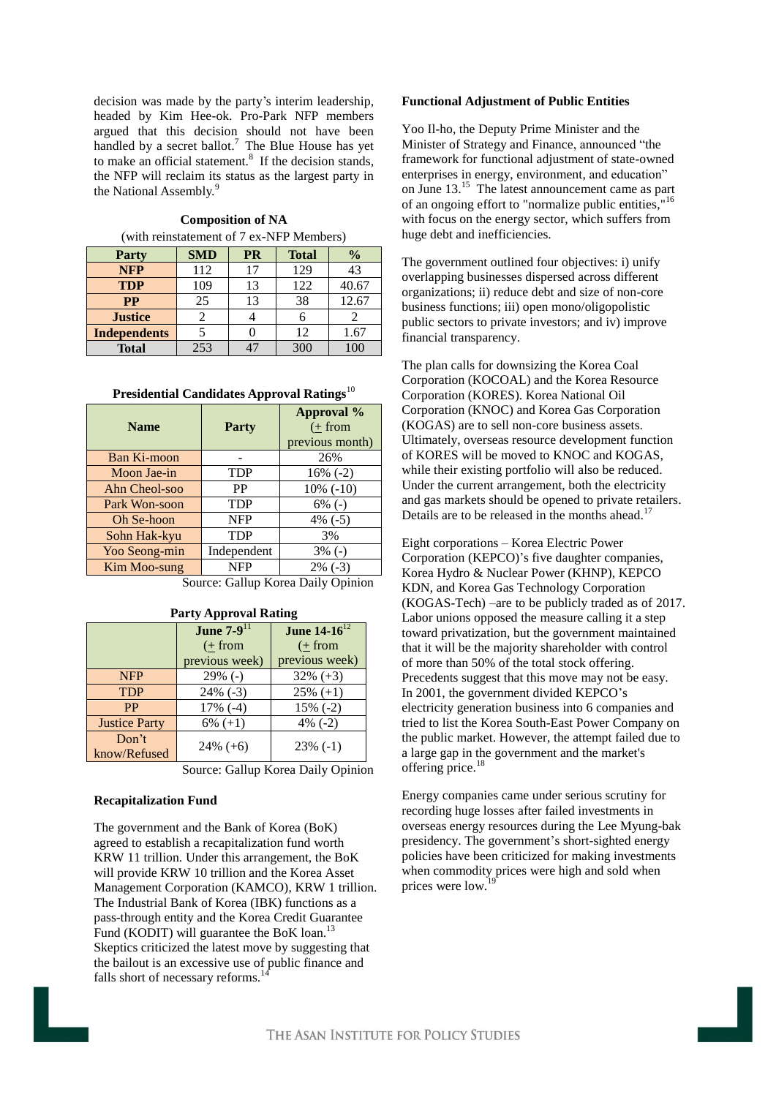decision was made by the party's interim leadership, headed by Kim Hee-ok. Pro-Park NFP members argued that this decision should not have been handled by a secret ballot.<sup>7</sup> The Blue House has yet to make an official statement. $8$  If the decision stands, the NFP will reclaim its status as the largest party in the National Assembly.<sup>9</sup>

**Composition of NA** (with reinstatement of 7 ex-NFP Members)

| <b>Party</b>        | <b>SMD</b><br><b>PR</b> |    | <b>Total</b> | $\frac{1}{2}$ |
|---------------------|-------------------------|----|--------------|---------------|
| <b>NFP</b>          | 112                     | 17 | 129          | 43            |
| <b>TDP</b>          | 109                     | 13 | 122          | 40.67         |
| <b>PP</b>           | 25                      | 13 | 38           | 12.67         |
| <b>Justice</b>      |                         |    |              |               |
| <b>Independents</b> |                         |    | 12           | 1.67          |
| <b>Total</b>        | 253                     |    | 300          |               |

**Presidential Candidates Approval Ratings**<sup>10</sup>

| <b>Name</b>        | <b>Party</b> | Approval %<br>$(\pm$ from<br>previous month) |
|--------------------|--------------|----------------------------------------------|
| <b>Ban Ki-moon</b> |              | 26%                                          |
| Moon Jae-in        | <b>TDP</b>   | $16\%$ (-2)                                  |
| Ahn Cheol-soo      | <b>PP</b>    | $10\%$ (-10)                                 |
| Park Won-soon      | <b>TDP</b>   | $6\%$ (-)                                    |
| Oh Se-hoon         | <b>NFP</b>   | $4\%$ (-5)                                   |
| Sohn Hak-kyu       | <b>TDP</b>   | 3%                                           |
| Yoo Seong-min      | Independent  | $3\%$ (-)                                    |
| Kim Moo-sung       | <b>NFP</b>   | $2\%$ (-3)                                   |

Source: Gallup Korea Daily Opinion

|                       | June $7-9$ <sup>11</sup> | June $14 - 16^{12}$ |  |  |
|-----------------------|--------------------------|---------------------|--|--|
|                       | $(\pm$ from              | $(+ from$           |  |  |
|                       | previous week)           | previous week)      |  |  |
| <b>NFP</b>            | $29\%$ (-)               | $32\% (+3)$         |  |  |
| <b>TDP</b>            | $24\%$ (-3)              | $25\% (+1)$         |  |  |
| <b>PP</b>             | $17\%$ (-4)              | $15\%$ (-2)         |  |  |
| <b>Justice Party</b>  | $6\% (+1)$               | 4\% $(-2)$          |  |  |
| Don't<br>know/Refused | $24\% (+6)$              | $23\%(-1)$          |  |  |

#### **Party Approval Rating**

Source: Gallup Korea Daily Opinion

### **Recapitalization Fund**

The government and the Bank of Korea (BoK) agreed to establish a recapitalization fund worth KRW 11 trillion. Under this arrangement, the BoK will provide KRW 10 trillion and the Korea Asset Management Corporation (KAMCO), KRW 1 trillion. The Industrial Bank of Korea (IBK) functions as a pass-through entity and the Korea Credit Guarantee Fund (KODIT) will guarantee the BoK loan.<sup>13</sup> Skeptics criticized the latest move by suggesting that the bailout is an excessive use of public finance and falls short of necessary reforms.<sup>14</sup>

### **Functional Adjustment of Public Entities**

Yoo Il-ho, the Deputy Prime Minister and the Minister of Strategy and Finance, announced "the framework for functional adjustment of state-owned enterprises in energy, environment, and education" on June 13.<sup>15</sup> The latest announcement came as part of an ongoing effort to "normalize public entities,"<sup>16</sup> with focus on the energy sector, which suffers from huge debt and inefficiencies.

The government outlined four objectives: i) unify overlapping businesses dispersed across different organizations; ii) reduce debt and size of non-core business functions; iii) open mono/oligopolistic public sectors to private investors; and iv) improve financial transparency.

The plan calls for downsizing the Korea Coal Corporation (KOCOAL) and the Korea Resource Corporation (KORES). Korea National Oil Corporation (KNOC) and Korea Gas Corporation (KOGAS) are to sell non-core business assets. Ultimately, overseas resource development function of KORES will be moved to KNOC and KOGAS, while their existing portfolio will also be reduced. Under the current arrangement, both the electricity and gas markets should be opened to private retailers. Details are to be released in the months ahead.<sup>17</sup>

Eight corporations – Korea Electric Power Corporation (KEPCO)'s five daughter companies, Korea Hydro & Nuclear Power (KHNP), KEPCO KDN, and Korea Gas Technology Corporation (KOGAS-Tech) –are to be publicly traded as of 2017. Labor unions opposed the measure calling it a step toward privatization, but the government maintained that it will be the majority shareholder with control of more than 50% of the total stock offering. Precedents suggest that this move may not be easy. In 2001, the government divided KEPCO's electricity generation business into 6 companies and tried to list the Korea South-East Power Company on the public market. However, the attempt failed due to a large gap in the government and the market's offering price. 18

Energy companies came under serious scrutiny for recording huge losses after failed investments in overseas energy resources during the Lee Myung-bak presidency. The government's short-sighted energy policies have been criticized for making investments when commodity prices were high and sold when  $\frac{1}{2}$ prices were low.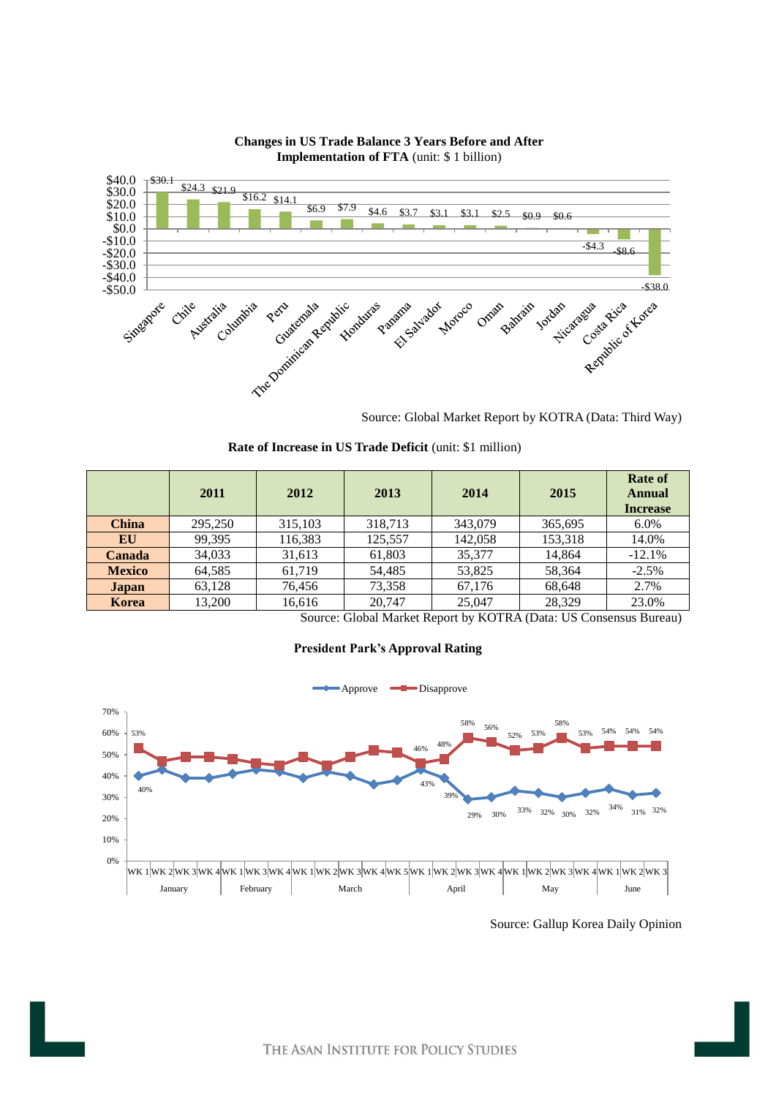

**Changes in US Trade Balance 3 Years Before and After Implementation of FTA** (unit: \$ 1 billion)

Source: Global Market Report by KOTRA (Data: Third Way)

|               | 2011    | 2012    | 2013    | 2014    | 2015    | <b>Rate of</b><br><b>Annual</b><br><b>Increase</b> |
|---------------|---------|---------|---------|---------|---------|----------------------------------------------------|
| <b>China</b>  | 295,250 | 315,103 | 318,713 | 343,079 | 365,695 | $6.0\%$                                            |
| <b>EU</b>     | 99.395  | 116,383 | 125,557 | 142,058 | 153,318 | 14.0%                                              |
| Canada        | 34,033  | 31,613  | 61,803  | 35,377  | 14,864  | $-12.1%$                                           |
| <b>Mexico</b> | 64,585  | 61,719  | 54,485  | 53,825  | 58,364  | $-2.5%$                                            |
| Japan         | 63.128  | 76,456  | 73,358  | 67,176  | 68,648  | 2.7%                                               |
| Korea         | 13,200  | 16,616  | 20.747  | 25,047  | 28,329  | 23.0%                                              |

Source: Global Market Report by KOTRA (Data: US Consensus Bureau)

# **President Park's Approval Rating**



Source: Gallup Korea Daily Opinion